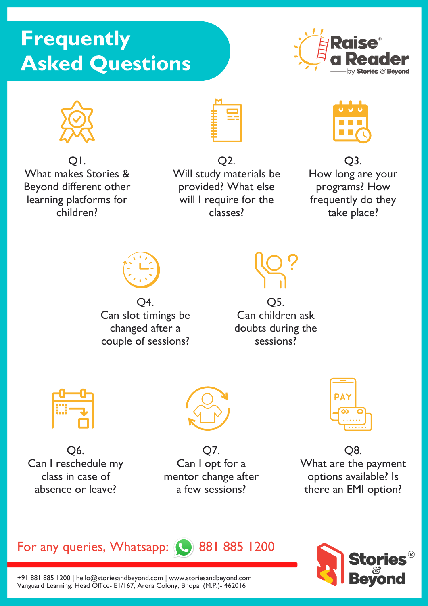# **Frequently** Asked Questions





What makes Stories & Beyond different other learning platforms for children? Q1.



Will study materials be provided? What else will I require for the classes? Q2. Q3.



How long are your programs? How frequently do they take place?



Q4. Can slot timings be changed after a couple of sessions?



Q5. Can children ask doubts during the sessions?



Q6. Can I reschedule my class in case of absence or leave?



Q7. Can I opt for a mentor change after a few sessions?



Q8. What are the payment options available? Is there an EMI option?





+91 881 885 1200 | hello@storiesandbeyond.com | www.storiesandbeyond.com Vanguard Learning: Head Office- E1/167, Arera Colony, Bhopal (M.P.)- 462016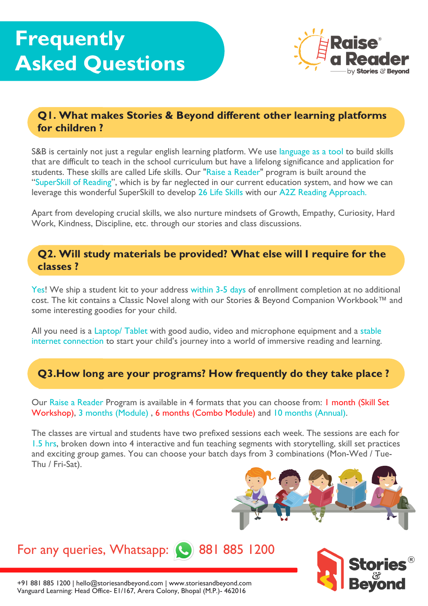

# Q1. What makes Stories & Beyond different other learning platforms for children ?

S&B is certainly not just a regular english learning platform. We use language as a tool to build skills that are difficult to teach in the school curriculum but have a lifelong significance and application for students. These skills are called Life skills. Our "Raise a Reader" program is built around the "SuperSkill of Reading", which is by far neglected in our current education system, and how we can leverage this wonderful SuperSkill to develop 26 Life Skills with our A2Z Reading Approach.

Apart from developing crucial skills, we also nurture mindsets of Growth, Empathy, Curiosity, Hard Work, Kindness, Discipline, etc. through our stories and class discussions.

#### Q2. Will study materials be provided? What else will I require for the classes ?

Yes! We ship a student kit to your address within 3-5 days of enrollment completion at no additional cost. The kit contains a Classic Novel along with our Stories & Beyond Companion Workbook™ and some interesting goodies for your child.

All you need is a Laptop/ Tablet with good audio, video and microphone equipment and a stable internet connection to start your child's journey into a world of immersive reading and learning.

# Q3.How long are your programs? How frequently do they take place ?

Our Raise a Reader Program is available in 4 formats that you can choose from: 1 month (Skill Set Workshop), 3 months (Module) , 6 months (Combo Module) and 10 months (Annual).

The classes are virtual and students have two prefixed sessions each week. The sessions are each for 1.5 hrs, broken down into 4 interactive and fun teaching segments with storytelling, skill set practices and exciting group games. You can choose your batch days from 3 combinations (Mon-Wed / Tue-Thu / Fri-Sat).





+91 881 885 1200 | hello@storiesandbeyond.com | www.storiesandbeyond.com

Vanguard Learning: Head Office- E1/167, Arera Colony, Bhopal (M.P.)- 462016

For any queries, Whatsapp: (8881 885 1200